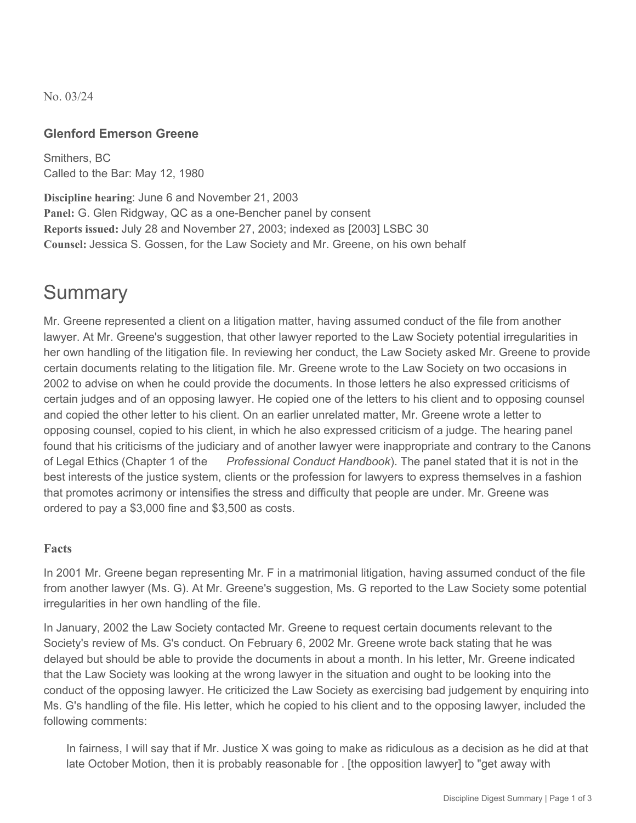No. 03/24

### **Glenford Emerson Greene**

Smithers, BC Called to the Bar: May 12, 1980

**Discipline hearing**: June 6 and November 21, 2003 **Panel:** G. Glen Ridgway, QC as a one-Bencher panel by consent **Reports issued:** July 28 and November 27, 2003; indexed as [2003] LSBC 30 **Counsel:** Jessica S. Gossen, for the Law Society and Mr. Greene, on his own behalf

## **Summary**

Mr. Greene represented a client on a litigation matter, having assumed conduct of the file from another lawyer. At Mr. Greene's suggestion, that other lawyer reported to the Law Society potential irregularities in her own handling of the litigation file. In reviewing her conduct, the Law Society asked Mr. Greene to provide certain documents relating to the litigation file. Mr. Greene wrote to the Law Society on two occasions in 2002 to advise on when he could provide the documents. In those letters he also expressed criticisms of certain judges and of an opposing lawyer. He copied one of the letters to his client and to opposing counsel and copied the other letter to his client. On an earlier unrelated matter, Mr. Greene wrote a letter to opposing counsel, copied to his client, in which he also expressed criticism of a judge. The hearing panel found that his criticisms of the judiciary and of another lawyer were inappropriate and contrary to the Canons of Legal Ethics (Chapter 1 of the *Professional Conduct Handbook*). The panel stated that it is not in the best interests of the justice system, clients or the profession for lawyers to express themselves in a fashion that promotes acrimony or intensifies the stress and difficulty that people are under. Mr. Greene was ordered to pay a \$3,000 fine and \$3,500 as costs.

### **Facts**

In 2001 Mr. Greene began representing Mr. F in a matrimonial litigation, having assumed conduct of the file from another lawyer (Ms. G). At Mr. Greene's suggestion, Ms. G reported to the Law Society some potential irregularities in her own handling of the file.

In January, 2002 the Law Society contacted Mr. Greene to request certain documents relevant to the Society's review of Ms. G's conduct. On February 6, 2002 Mr. Greene wrote back stating that he was delayed but should be able to provide the documents in about a month. In his letter, Mr. Greene indicated that the Law Society was looking at the wrong lawyer in the situation and ought to be looking into the conduct of the opposing lawyer. He criticized the Law Society as exercising bad judgement by enquiring into Ms. G's handling of the file. His letter, which he copied to his client and to the opposing lawyer, included the following comments:

In fairness, I will say that if Mr. Justice X was going to make as ridiculous as a decision as he did at that late October Motion, then it is probably reasonable for . [the opposition lawyer] to "get away with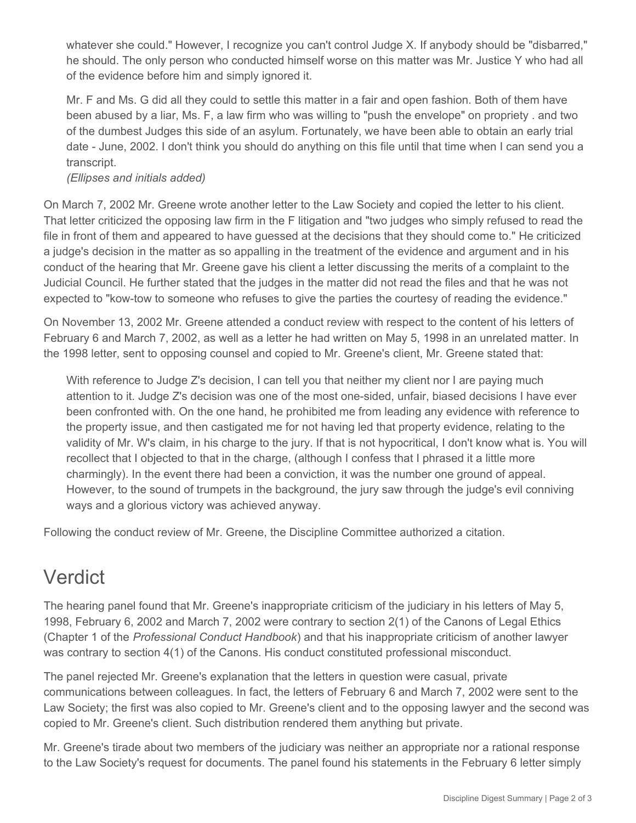whatever she could." However, I recognize you can't control Judge X. If anybody should be "disbarred," he should. The only person who conducted himself worse on this matter was Mr. Justice Y who had all of the evidence before him and simply ignored it.

Mr. F and Ms. G did all they could to settle this matter in a fair and open fashion. Both of them have been abused by a liar, Ms. F, a law firm who was willing to "push the envelope" on propriety . and two of the dumbest Judges this side of an asylum. Fortunately, we have been able to obtain an early trial date - June, 2002. I don't think you should do anything on this file until that time when I can send you a transcript.

*(Ellipses and initials added)*

On March 7, 2002 Mr. Greene wrote another letter to the Law Society and copied the letter to his client. That letter criticized the opposing law firm in the F litigation and "two judges who simply refused to read the file in front of them and appeared to have guessed at the decisions that they should come to." He criticized a judge's decision in the matter as so appalling in the treatment of the evidence and argument and in his conduct of the hearing that Mr. Greene gave his client a letter discussing the merits of a complaint to the Judicial Council. He further stated that the judges in the matter did not read the files and that he was not expected to "kow-tow to someone who refuses to give the parties the courtesy of reading the evidence."

On November 13, 2002 Mr. Greene attended a conduct review with respect to the content of his letters of February 6 and March 7, 2002, as well as a letter he had written on May 5, 1998 in an unrelated matter. In the 1998 letter, sent to opposing counsel and copied to Mr. Greene's client, Mr. Greene stated that:

With reference to Judge Z's decision, I can tell you that neither my client nor I are paying much attention to it. Judge Z's decision was one of the most one-sided, unfair, biased decisions I have ever been confronted with. On the one hand, he prohibited me from leading any evidence with reference to the property issue, and then castigated me for not having led that property evidence, relating to the validity of Mr. W's claim, in his charge to the jury. If that is not hypocritical, I don't know what is. You will recollect that I objected to that in the charge, (although I confess that I phrased it a little more charmingly). In the event there had been a conviction, it was the number one ground of appeal. However, to the sound of trumpets in the background, the jury saw through the judge's evil conniving ways and a glorious victory was achieved anyway.

Following the conduct review of Mr. Greene, the Discipline Committee authorized a citation.

## Verdict

The hearing panel found that Mr. Greene's inappropriate criticism of the judiciary in his letters of May 5, 1998, February 6, 2002 and March 7, 2002 were contrary to section 2(1) of the Canons of Legal Ethics (Chapter 1 of the *Professional Conduct Handbook*) and that his inappropriate criticism of another lawyer was contrary to section 4(1) of the Canons. His conduct constituted professional misconduct.

The panel rejected Mr. Greene's explanation that the letters in question were casual, private communications between colleagues. In fact, the letters of February 6 and March 7, 2002 were sent to the Law Society; the first was also copied to Mr. Greene's client and to the opposing lawyer and the second was copied to Mr. Greene's client. Such distribution rendered them anything but private.

Mr. Greene's tirade about two members of the judiciary was neither an appropriate nor a rational response to the Law Society's request for documents. The panel found his statements in the February 6 letter simply